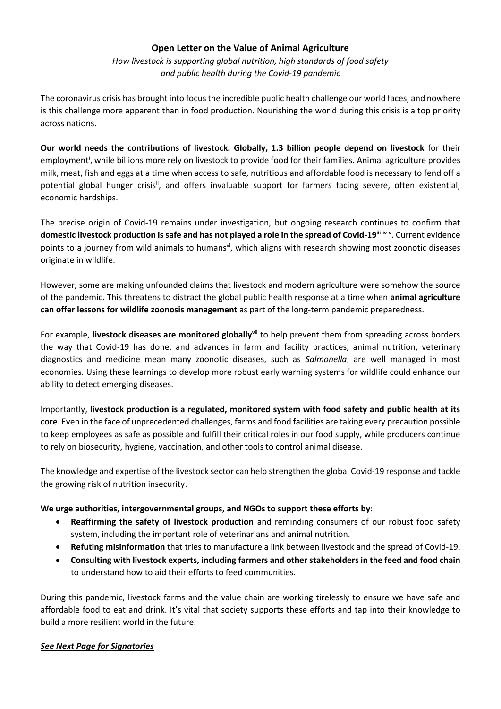### **Open Letter on the Value of Animal Agriculture**

*How livestock is supporting global nutrition, high standards of food safety and public health during the Covid-19 pandemic*

The coronavirus crisis has brought into focus the incredible public health challenge our world faces, and nowhere is this challenge more apparent than in food production. Nourishing the world during this crisis is a top priority across nations.

**Our world needs the contributions of livestock. Globally, 1.3 billion people depend on livestock** for their employment**<sup>i</sup>** , while billions more rely on livestock to provide food for their families. Animal agriculture provides milk, meat, fish and eggs at a time when access to safe, nutritious and affordable food is necessary to fend off a potential global hunger crisis<sup>ii</sup>, and offers invaluable support for farmers facing severe, often existential, economic hardships.

The precise origin of Covid-19 remains under investigation, but ongoing research continues to confirm that **domestic livestock production is safe and has not played a role in the spread of Covid-19iii iv <sup>v</sup>** . Current evidence points to a journey from wild animals to humans<sup>vi</sup>, which aligns with research showing most zoonotic diseases originate in wildlife.

However, some are making unfounded claims that livestock and modern agriculture were somehow the source of the pandemic. This threatens to distract the global public health response at a time when **animal agriculture can offer lessons for wildlife zoonosis management** as part of the long-term pandemic preparedness.

For example, **livestock diseases are monitored globallyvii** to help prevent them from spreading across borders the way that Covid-19 has done, and advances in farm and facility practices, animal nutrition, veterinary diagnostics and medicine mean many zoonotic diseases, such as *Salmonella*, are well managed in most economies. Using these learnings to develop more robust early warning systems for wildlife could enhance our ability to detect emerging diseases.

Importantly, **livestock production is a regulated, monitored system with food safety and public health at its core**. Even in the face of unprecedented challenges, farms and food facilities are taking every precaution possible to keep employees as safe as possible and fulfill their critical roles in our food supply, while producers continue to rely on biosecurity, hygiene, vaccination, and other tools to control animal disease.

The knowledge and expertise of the livestock sector can help strengthen the global Covid-19 response and tackle the growing risk of nutrition insecurity.

### **We urge authorities, intergovernmental groups, and NGOs to support these efforts by**:

- **Reaffirming the safety of livestock production** and reminding consumers of our robust food safety system, including the important role of veterinarians and animal nutrition.
- **Refuting misinformation** that tries to manufacture a link between livestock and the spread of Covid-19.
- **Consulting with livestock experts, including farmers and other stakeholders in the feed and food chain** to understand how to aid their efforts to feed communities.

During this pandemic, livestock farms and the value chain are working tirelessly to ensure we have safe and affordable food to eat and drink. It's vital that society supports these efforts and tap into their knowledge to build a more resilient world in the future.

#### *See Next Page for Signatories*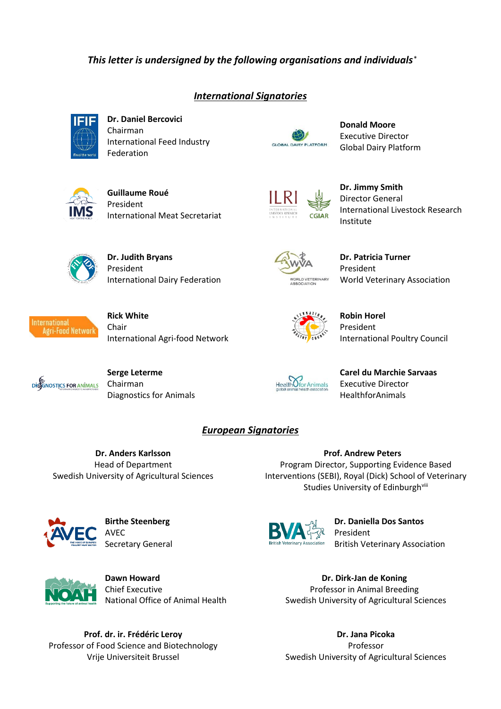## *This letter is undersigned by the following organisations and individuals* \*

## *International Signatories*



**Dr. Daniel Bercovici** Chairman International Feed Industry Federation



**Donald Moore** Executive Director Global Dairy Platform



**Guillaume Roué** President International Meat Secretariat



**Dr. Jimmy Smith** Director General International Livestock Research Institute



**Dr. Judith Bryans** President International Dairy Federation



**Dr. Patricia Turner** President World Veterinary Association



**Rick White** Chair International Agri-food Network



**Robin Horel** President International Poultry Council



**Serge Leterme** Chairman Diagnostics for Animals



Health *Ofor Animals* 

**Carel du Marchie Sarvaas** Executive Director HealthforAnimals

## *European Signatories*

**Dr. Anders Karlsson** Head of Department Swedish University of Agricultural Sciences

**Prof. Andrew Peters** Program Director, Supporting Evidence Based Interventions (SEBI), Royal (Dick) School of Veterinary Studies University of Edinburghvill



**Birthe Steenberg** AVEC Secretary General



**Dawn Howard** Chief Executive National Office of Animal Health

**Prof. dr. ir. Frédéric Leroy** Professor of Food Science and Biotechnology Vrije Universiteit Brussel



**Dr. Daniella Dos Santos** President British Veterinary Association

**Dr. Dirk-Jan de Koning** Professor in Animal Breeding Swedish University of Agricultural Sciences

**Dr. Jana Picoka** Professor Swedish University of Agricultural Sciences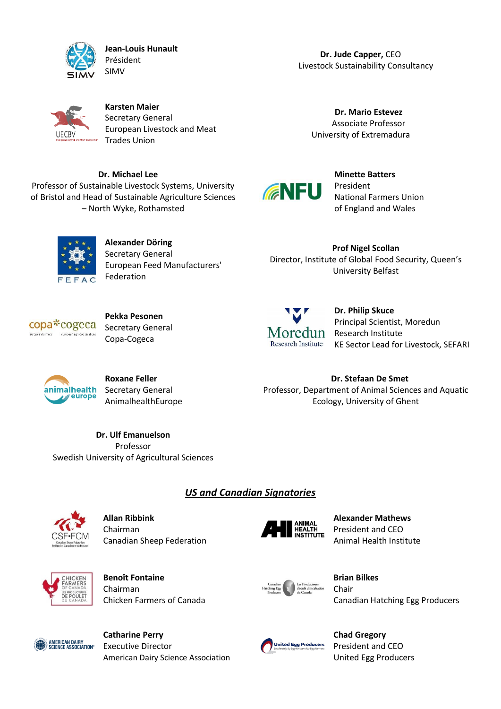

**Jean-Louis Hunault** Président SIMV

**Dr. Jude Capper,** CEO Livestock Sustainability Consultancy



**Karsten Maier** Secretary General European Livestock and Meat Trades Union

**Dr. Michael Lee** Professor of Sustainable Livestock Systems, University of Bristol and Head of Sustainable Agriculture Sciences – North Wyke, Rothamsted





**Minette Batters** President National Farmers Union of England and Wales

 $AC$ 

**Alexander Döring** Secretary General European Feed Manufacturers' Federation

**Prof Nigel Scollan** Director, Institute of Global Food Security, Queen's University Belfast

**Dr. Stefaan De Smet** Professor, Department of Animal Sciences and Aquatic Ecology, University of Ghent



**Pekka Pesonen** Secretary General Copa-Cogeca



**Dr. Philip Skuce** Principal Scientist, Moredun Research Institute KE Sector Lead for Livestock, SEFARI

animalhealth **A** europe

**Roxane Feller** Secretary General AnimalhealthEurope

**Dr. Ulf Emanuelson** Professor Swedish University of Agricultural Sciences

*US and Canadian Signatories*



**Allan Ribbink** Chairman Canadian Sheep Federation



**Alexander Mathews** President and CEO Animal Health Institute



**Benoît Fontaine** Chairman Chicken Farmers of Canada



**Brian Bilkes** Chair Canadian Hatching Egg Producers



**Catharine Perry** Executive Director American Dairy Science Association



**Chad Gregory** President and CEO United Egg Producers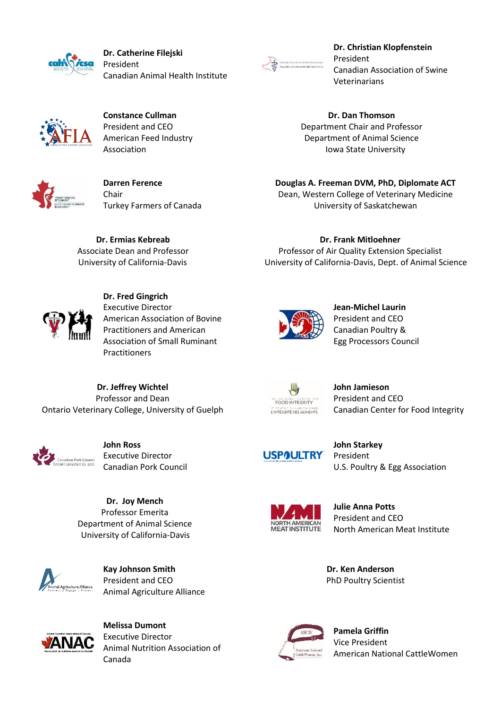

**Dr. Catherine Filejski** President Canadian Animal Health Institute



**Dr. Christian Klopfenstein** President Canadian Association of Swine Veterinarians

**Dr. Dan Thomson** Department Chair and Professor Department of Animal Science Iowa State University

**Douglas A. Freeman DVM, PhD, Diplomate ACT** Dean, Western College of Veterinary Medicine University of Saskatchewan

**Dr. Frank Mitloehner** Professor of Air Quality Extension Specialist University of California-Davis, Dept. of Animal Science

**Constance Cullman** President and CEO American Feed Industry Association



**Darren Ference** Chair Turkey Farmers of Canada

**Dr. Ermias Kebreab** Associate Dean and Professor University of California-Davis



**Dr. Fred Gingrich** Executive Director American Association of Bovine Practitioners and American Association of Small Ruminant **Practitioners** 

**John Jamieson** President and CEO Canadian Center for Food Integrity



**John Ross** Executive Director Canadian Pork Council

**Dr. Jeffrey Wichtel** Professor and Dean Ontario Veterinary College, University of Guelph

> **Dr. Joy Mench** Professor Emerita Department of Animal Science University of California-Davis



**Kay Johnson Smith** President and CEO Animal Agriculture Alliance



**Melissa Dumont** Executive Director Animal Nutrition Association of Canada





**Pamela Griffin** Vice President American National CattleWomen

**Jean-Michel Laurin** President and CEO Canadian Poultry & Egg Processors Council





**John Starkey** President U.S. Poultry & Egg Association

**Julie Anna Potts**

**Dr. Ken Anderson** PhD Poultry Scientist



President and CEO North American Meat Institute